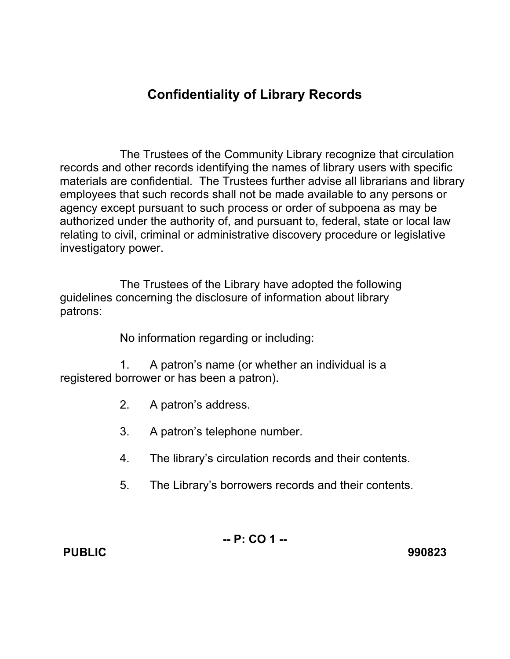## **Confidentiality of Library Records**

The Trustees of the Community Library recognize that circulation records and other records identifying the names of library users with specific materials are confidential. The Trustees further advise all librarians and library employees that such records shall not be made available to any persons or agency except pursuant to such process or order of subpoena as may be authorized under the authority of, and pursuant to, federal, state or local law relating to civil, criminal or administrative discovery procedure or legislative investigatory power.

The Trustees of the Library have adopted the following guidelines concerning the disclosure of information about library patrons:

No information regarding or including:

1. A patron's name (or whether an individual is a registered borrower or has been a patron).

- 2. A patron's address.
- 3. A patron's telephone number.
- 4. The library's circulation records and their contents.
- 5. The Library's borrowers records and their contents.

**-- P: CO 1 --** 

**PUBLIC 990823**